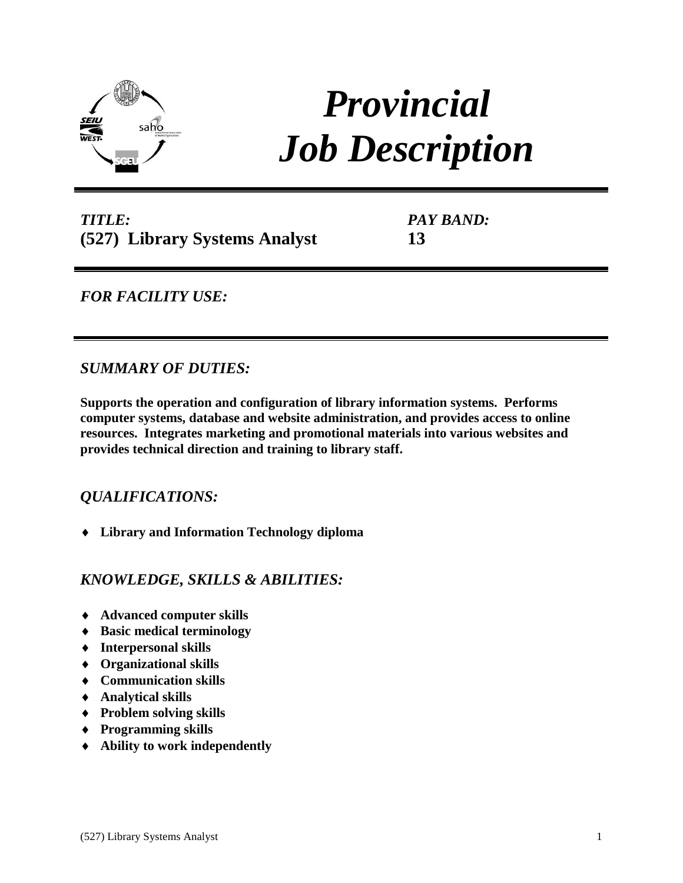

# *Provincial Job Description*

*TITLE:* **(527) Library Systems Analyst** *PAY BAND:* **13**

## *FOR FACILITY USE:*

### *SUMMARY OF DUTIES:*

**Supports the operation and configuration of library information systems. Performs computer systems, database and website administration, and provides access to online resources. Integrates marketing and promotional materials into various websites and provides technical direction and training to library staff.** 

## *QUALIFICATIONS:*

**Library and Information Technology diploma**

### *KNOWLEDGE, SKILLS & ABILITIES:*

- **Advanced computer skills**
- **Basic medical terminology**
- **Interpersonal skills**
- **Organizational skills**
- **Communication skills**
- **Analytical skills**
- **Problem solving skills**
- **Programming skills**
- **Ability to work independently**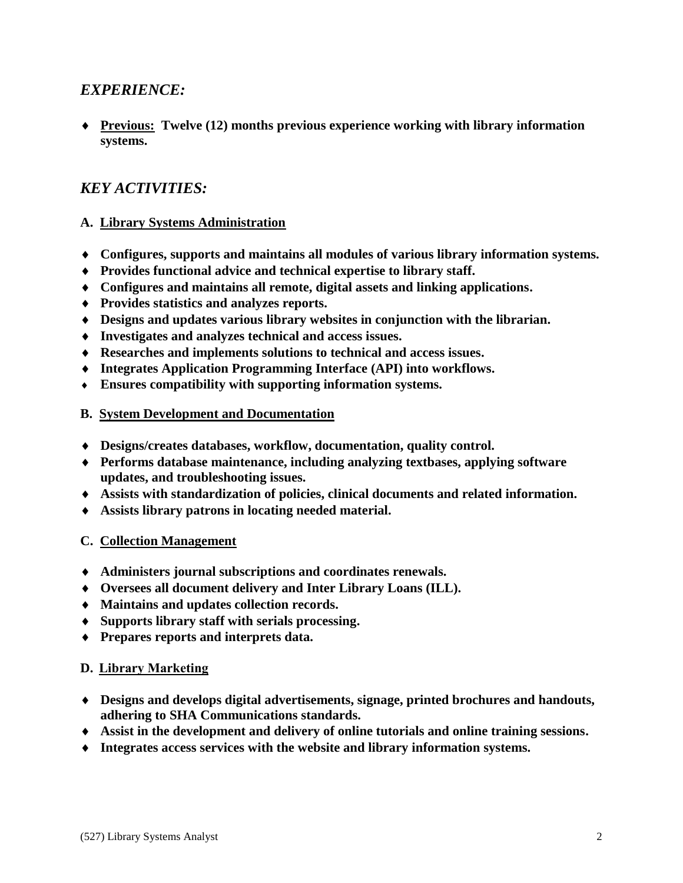### *EXPERIENCE:*

 **Previous: Twelve (12) months previous experience working with library information systems.** 

## *KEY ACTIVITIES:*

#### **A. Library Systems Administration**

- **Configures, supports and maintains all modules of various library information systems.**
- **Provides functional advice and technical expertise to library staff.**
- **Configures and maintains all remote, digital assets and linking applications.**
- **Provides statistics and analyzes reports.**
- **Designs and updates various library websites in conjunction with the librarian.**
- **Investigates and analyzes technical and access issues.**
- **Researches and implements solutions to technical and access issues.**
- **Integrates Application Programming Interface (API) into workflows.**
- **Ensures compatibility with supporting information systems.**
- **B. System Development and Documentation**
- **Designs/creates databases, workflow, documentation, quality control.**
- **Performs database maintenance, including analyzing textbases, applying software updates, and troubleshooting issues.**
- **Assists with standardization of policies, clinical documents and related information.**
- **Assists library patrons in locating needed material.**

#### **C. Collection Management**

- **Administers journal subscriptions and coordinates renewals.**
- **Oversees all document delivery and Inter Library Loans (ILL).**
- **Maintains and updates collection records.**
- **Supports library staff with serials processing.**
- **Prepares reports and interprets data.**

#### **D. Library Marketing**

- **Designs and develops digital advertisements, signage, printed brochures and handouts, adhering to SHA Communications standards.**
- **Assist in the development and delivery of online tutorials and online training sessions.**
- **Integrates access services with the website and library information systems.**